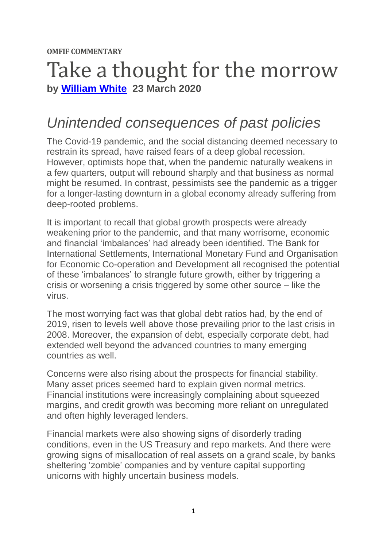**OMFIF COMMENTARY**

## Take a thought for the morrow **by [William White](https://www.omfif.org/author/william-white/) 23 March 2020**

## *Unintended consequences of past policies*

The Covid-19 pandemic, and the social distancing deemed necessary to restrain its spread, have raised fears of a deep global recession. However, optimists hope that, when the pandemic naturally weakens in a few quarters, output will rebound sharply and that business as normal might be resumed. In contrast, pessimists see the pandemic as a trigger for a longer-lasting downturn in a global economy already suffering from deep-rooted problems.

It is important to recall that global growth prospects were already weakening prior to the pandemic, and that many worrisome, economic and financial 'imbalances' had already been identified. The Bank for International Settlements, International Monetary Fund and Organisation for Economic Co-operation and Development all recognised the potential of these 'imbalances' to strangle future growth, either by triggering a crisis or worsening a crisis triggered by some other source – like the virus.

The most worrying fact was that global debt ratios had, by the end of 2019, risen to levels well above those prevailing prior to the last crisis in 2008. Moreover, the expansion of debt, especially corporate debt, had extended well beyond the advanced countries to many emerging countries as well.

Concerns were also rising about the prospects for financial stability. Many asset prices seemed hard to explain given normal metrics. Financial institutions were increasingly complaining about squeezed margins, and credit growth was becoming more reliant on unregulated and often highly leveraged lenders.

Financial markets were also showing signs of disorderly trading conditions, even in the US Treasury and repo markets. And there were growing signs of misallocation of real assets on a grand scale, by banks sheltering 'zombie' companies and by venture capital supporting unicorns with highly uncertain business models.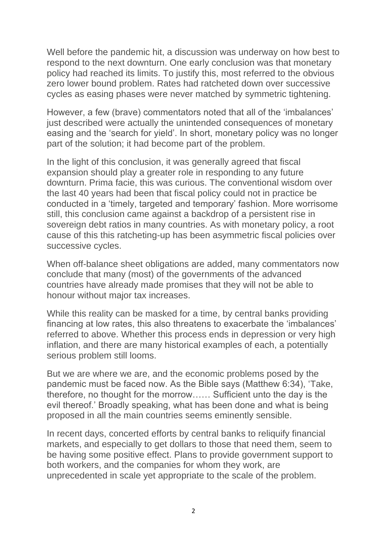Well before the pandemic hit, a discussion was underway on how best to respond to the next downturn. One early conclusion was that monetary policy had reached its limits. To justify this, most referred to the obvious zero lower bound problem. Rates had ratcheted down over successive cycles as easing phases were never matched by symmetric tightening.

However, a few (brave) commentators noted that all of the 'imbalances' just described were actually the unintended consequences of monetary easing and the 'search for yield'. In short, monetary policy was no longer part of the solution; it had become part of the problem.

In the light of this conclusion, it was generally agreed that fiscal expansion should play a greater role in responding to any future downturn. Prima facie, this was curious. The conventional wisdom over the last 40 years had been that fiscal policy could not in practice be conducted in a 'timely, targeted and temporary' fashion. More worrisome still, this conclusion came against a backdrop of a persistent rise in sovereign debt ratios in many countries. As with monetary policy, a root cause of this this ratcheting-up has been asymmetric fiscal policies over successive cycles.

When off-balance sheet obligations are added, many commentators now conclude that many (most) of the governments of the advanced countries have already made promises that they will not be able to honour without major tax increases.

While this reality can be masked for a time, by central banks providing financing at low rates, this also threatens to exacerbate the 'imbalances' referred to above. Whether this process ends in depression or very high inflation, and there are many historical examples of each, a potentially serious problem still looms.

But we are where we are, and the economic problems posed by the pandemic must be faced now. As the Bible says (Matthew 6:34), 'Take, therefore, no thought for the morrow…… Sufficient unto the day is the evil thereof.' Broadly speaking, what has been done and what is being proposed in all the main countries seems eminently sensible.

In recent days, concerted efforts by central banks to reliquify financial markets, and especially to get dollars to those that need them, seem to be having some positive effect. Plans to provide government support to both workers, and the companies for whom they work, are unprecedented in scale yet appropriate to the scale of the problem.